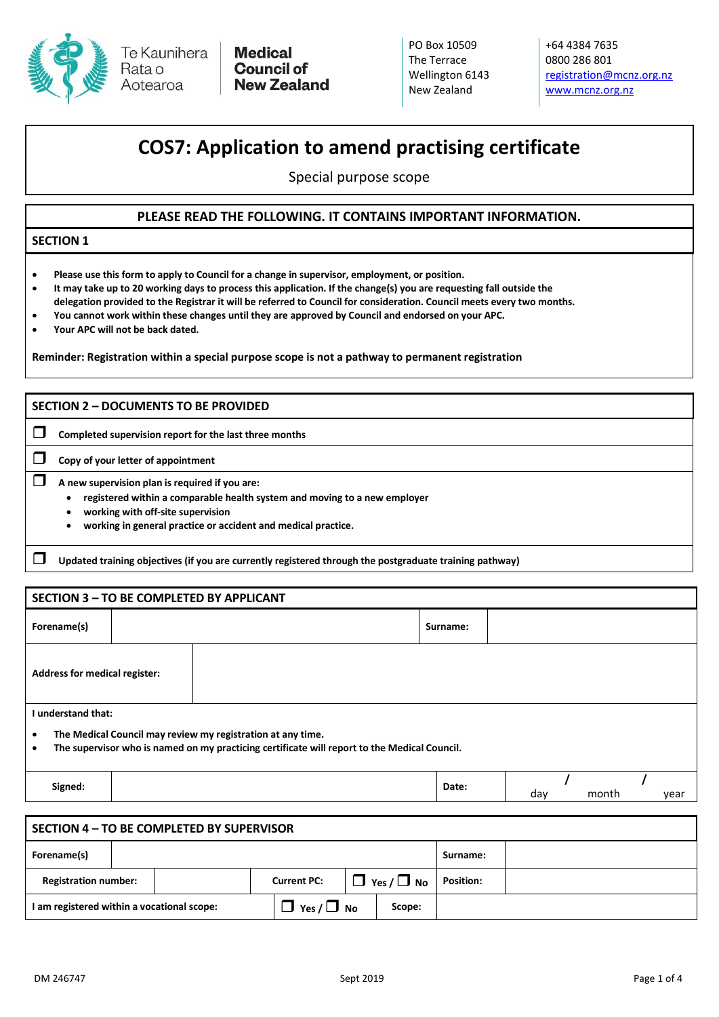

Te Kaunihera Rata o Aotearoa

**Medical Council of New Zealand**  PO Box 10509 The Terrace Wellington 6143 New Zealand

+64 4384 7635 0800 286 801 [registration@mcnz.org.nz](mailto:registration@mcnz.org.nz) [www.mcnz.org.nz](http://www.mcnz.org.nz/)

# **COS7: Application to amend practising certificate**

Special purpose scope

## **PLEASE READ THE FOLLOWING. IT CONTAINS IMPORTANT INFORMATION.**

#### **SECTION 1**

- **Please use this form to apply to Council for a change in supervisor, employment, or position.**
- **It may take up to 20 working days to process this application. If the change(s) you are requesting fall outside the delegation provided to the Registrar it will be referred to Council for consideration. Council meets every two months.**
- **You cannot work within these changes until they are approved by Council and endorsed on your APC.**
- **Your APC will not be back dated.**

**Reminder: Registration within a special purpose scope is not a pathway to permanent registration**

#### **SECTION 2 – DOCUMENTS TO BE PROVIDED**

**Completed supervision report for the last three months**

**Copy of your letter of appointment**

**A new supervision plan is required if you are:**

- **registered within a comparable health system and moving to a new employer**
- **working with off-site supervision**
- **working in general practice or accident and medical practice.**

**Updated training objectives (if you are currently registered through the postgraduate training pathway)**

| SECTION 3 - TO BE COMPLETED BY APPLICANT                                                                                                                                 |  |  |          |  |  |  |  |  |
|--------------------------------------------------------------------------------------------------------------------------------------------------------------------------|--|--|----------|--|--|--|--|--|
| Forename(s)                                                                                                                                                              |  |  | Surname: |  |  |  |  |  |
| <b>Address for medical register:</b>                                                                                                                                     |  |  |          |  |  |  |  |  |
| I understand that:                                                                                                                                                       |  |  |          |  |  |  |  |  |
| The Medical Council may review my registration at any time.<br>$\bullet$<br>The supervisor who is named on my practicing certificate will report to the Medical Council. |  |  |          |  |  |  |  |  |

**Signed: Date: / /**

| SECTION 4 - TO BE COMPLETED BY SUPERVISOR  |  |                                              |                        |  |                  |  |  |  |  |  |
|--------------------------------------------|--|----------------------------------------------|------------------------|--|------------------|--|--|--|--|--|
| Forename(s)                                |  |                                              |                        |  | Surname:         |  |  |  |  |  |
| <b>Registration number:</b>                |  | $\Box$ Yes / $\Box$ No<br><b>Current PC:</b> |                        |  | <b>Position:</b> |  |  |  |  |  |
| I am registered within a vocational scope: |  |                                              | $\Box$ Yes / $\Box$ No |  | Scope:           |  |  |  |  |  |

day month year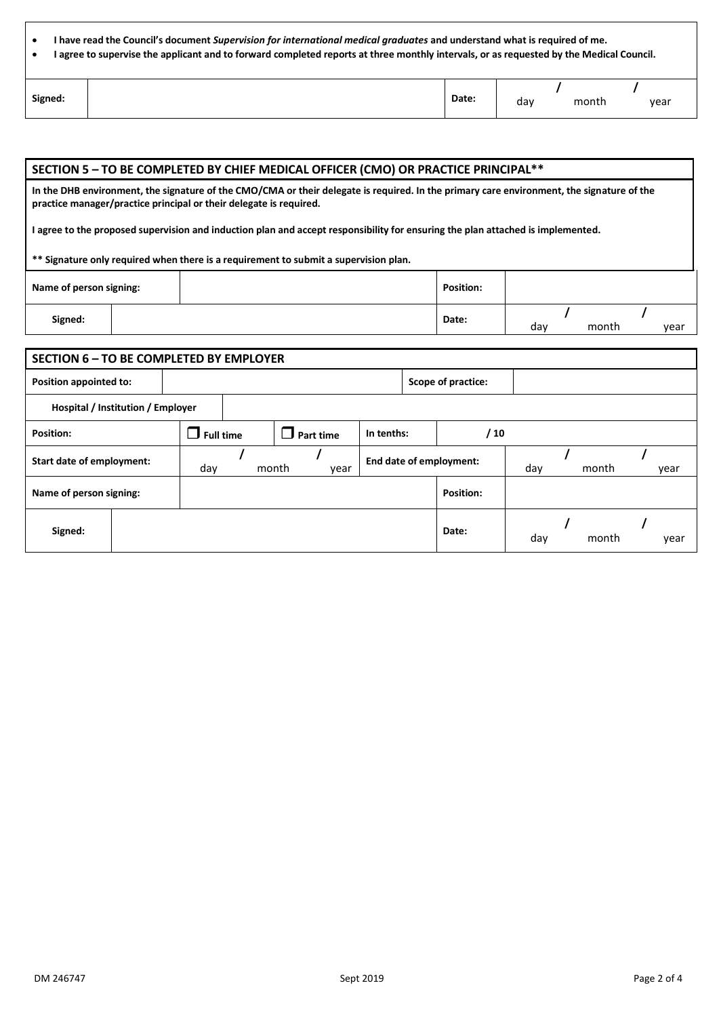| I have read the Council's document <i>Supervision for international medical graduates</i> and understand what is reguired of me.        |  |  |  |  |  |  |  |  |
|-----------------------------------------------------------------------------------------------------------------------------------------|--|--|--|--|--|--|--|--|
| I agree to supervise the applicant and to forward completed reports at three monthly intervals, or as requested by the Medical Council. |  |  |  |  |  |  |  |  |
|                                                                                                                                         |  |  |  |  |  |  |  |  |
|                                                                                                                                         |  |  |  |  |  |  |  |  |

| Signed: | Date: | dav | month<br>$  -$ | year |
|---------|-------|-----|----------------|------|
|         |       |     |                |      |

| SECTION 5 - TO BE COMPLETED BY CHIEF MEDICAL OFFICER (CMO) OR PRACTICE PRINCIPAL**                                                                                                                              |  |                                                                                      |       |     |       |  |      |  |  |  |
|-----------------------------------------------------------------------------------------------------------------------------------------------------------------------------------------------------------------|--|--------------------------------------------------------------------------------------|-------|-----|-------|--|------|--|--|--|
| In the DHB environment, the signature of the CMO/CMA or their delegate is required. In the primary care environment, the signature of the<br>practice manager/practice principal or their delegate is required. |  |                                                                                      |       |     |       |  |      |  |  |  |
| I agree to the proposed supervision and induction plan and accept responsibility for ensuring the plan attached is implemented.                                                                                 |  |                                                                                      |       |     |       |  |      |  |  |  |
|                                                                                                                                                                                                                 |  | ** Signature only required when there is a requirement to submit a supervision plan. |       |     |       |  |      |  |  |  |
| <b>Position:</b><br>Name of person signing:                                                                                                                                                                     |  |                                                                                      |       |     |       |  |      |  |  |  |
| Signed:                                                                                                                                                                                                         |  |                                                                                      | Date: | dav | month |  | year |  |  |  |

| <b>SECTION 6 - TO BE COMPLETED BY EMPLOYER</b> |  |                  |  |                  |                         |  |                    |     |       |       |      |
|------------------------------------------------|--|------------------|--|------------------|-------------------------|--|--------------------|-----|-------|-------|------|
| Position appointed to:                         |  |                  |  |                  |                         |  | Scope of practice: |     |       |       |      |
| Hospital / Institution / Employer              |  |                  |  |                  |                         |  |                    |     |       |       |      |
| Position:                                      |  | $\Box$ Full time |  | $\Box$ Part time | / 10<br>In tenths:      |  |                    |     |       |       |      |
| Start date of employment:                      |  | day              |  | month<br>year    | End date of employment: |  | day                |     | month | year  |      |
| Name of person signing:                        |  |                  |  |                  |                         |  | <b>Position:</b>   |     |       |       |      |
| Signed:                                        |  |                  |  |                  |                         |  | Date:              | day |       | month | year |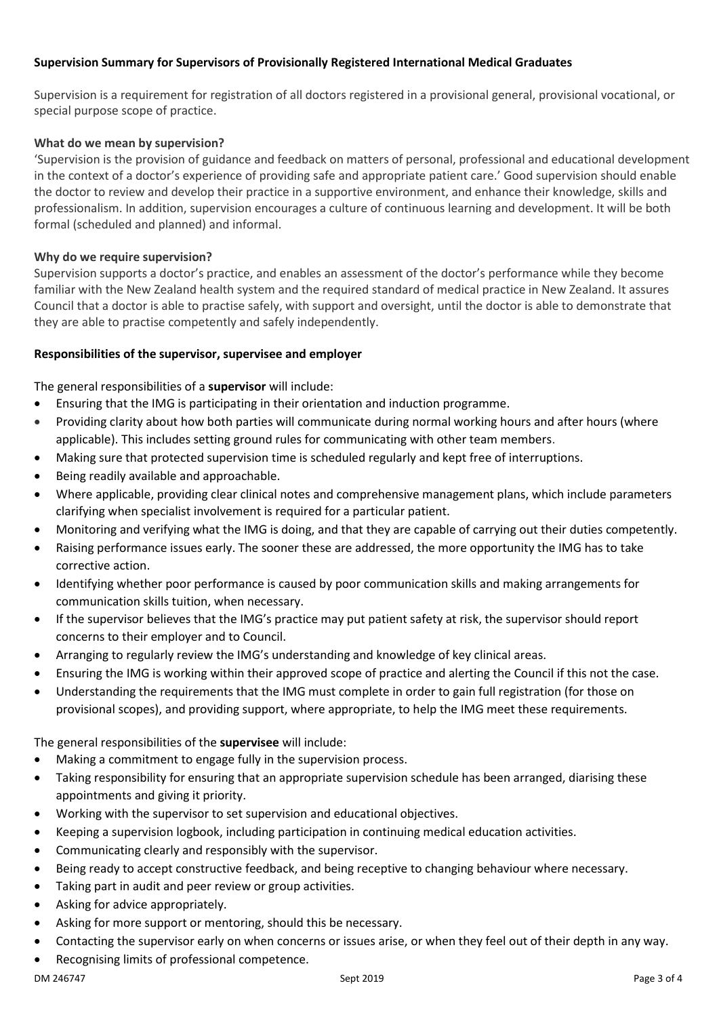# **Supervision Summary for Supervisors of Provisionally Registered International Medical Graduates**

Supervision is a requirement for registration of all doctors registered in a provisional general, provisional vocational, or special purpose scope of practice.

# **What do we mean by supervision?**

'Supervision is the provision of guidance and feedback on matters of personal, professional and educational development in the context of a doctor's experience of providing safe and appropriate patient care.' Good supervision should enable the doctor to review and develop their practice in a supportive environment, and enhance their knowledge, skills and professionalism. In addition, supervision encourages a culture of continuous learning and development. It will be both formal (scheduled and planned) and informal.

## **Why do we require supervision?**

Supervision supports a doctor's practice, and enables an assessment of the doctor's performance while they become familiar with the New Zealand health system and the required standard of medical practice in New Zealand. It assures Council that a doctor is able to practise safely, with support and oversight, until the doctor is able to demonstrate that they are able to practise competently and safely independently.

## **Responsibilities of the supervisor, supervisee and employer**

The general responsibilities of a **supervisor** will include:

- Ensuring that the IMG is participating in their orientation and induction programme.
- Providing clarity about how both parties will communicate during normal working hours and after hours (where applicable). This includes setting ground rules for communicating with other team members.
- Making sure that protected supervision time is scheduled regularly and kept free of interruptions.
- Being readily available and approachable.
- Where applicable, providing clear clinical notes and comprehensive management plans, which include parameters clarifying when specialist involvement is required for a particular patient.
- Monitoring and verifying what the IMG is doing, and that they are capable of carrying out their duties competently.
- Raising performance issues early. The sooner these are addressed, the more opportunity the IMG has to take corrective action.
- Identifying whether poor performance is caused by poor communication skills and making arrangements for communication skills tuition, when necessary.
- If the supervisor believes that the IMG's practice may put patient safety at risk, the supervisor should report concerns to their employer and to Council.
- Arranging to regularly review the IMG's understanding and knowledge of key clinical areas.
- Ensuring the IMG is working within their approved scope of practice and alerting the Council if this not the case.
- Understanding the requirements that the IMG must complete in order to gain full registration (for those on provisional scopes), and providing support, where appropriate, to help the IMG meet these requirements.

The general responsibilities of the **supervisee** will include:

- Making a commitment to engage fully in the supervision process.
- Taking responsibility for ensuring that an appropriate supervision schedule has been arranged, diarising these appointments and giving it priority.
- Working with the supervisor to set supervision and educational objectives.
- Keeping a supervision logbook, including participation in continuing medical education activities.
- Communicating clearly and responsibly with the supervisor.
- Being ready to accept constructive feedback, and being receptive to changing behaviour where necessary.
- Taking part in audit and peer review or group activities.
- Asking for advice appropriately.
- Asking for more support or mentoring, should this be necessary.
- Contacting the supervisor early on when concerns or issues arise, or when they feel out of their depth in any way.
- Recognising limits of professional competence.